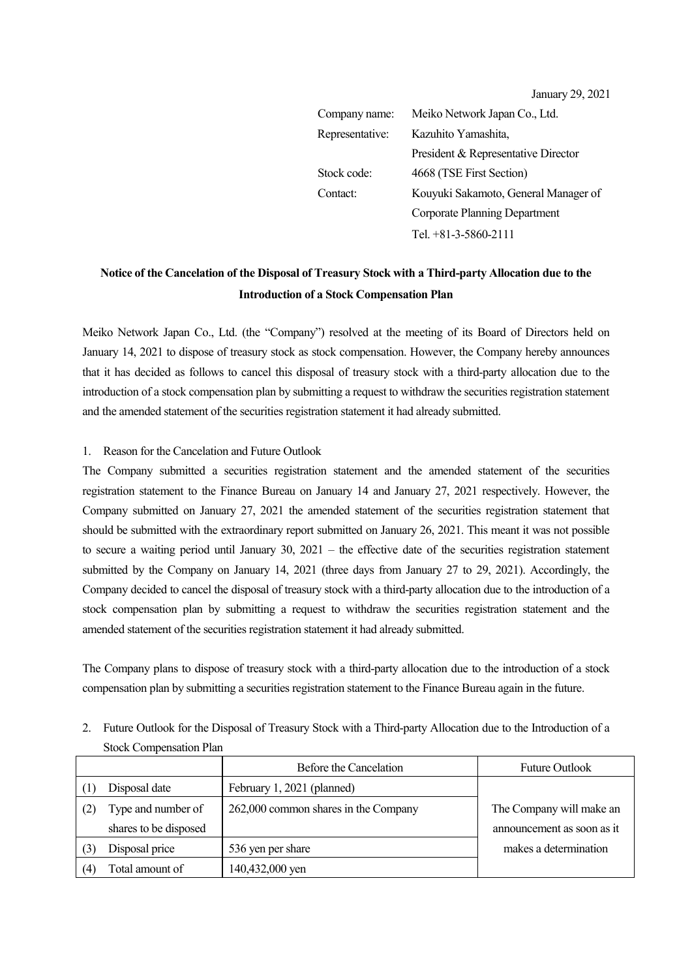January 29, 2021

| Company name:   | Meiko Network Japan Co., Ltd.        |
|-----------------|--------------------------------------|
| Representative: | Kazuhito Yamashita,                  |
|                 | President & Representative Director  |
| Stock code:     | 4668 (TSE First Section)             |
| Contact:        | Kouyuki Sakamoto, General Manager of |
|                 | Corporate Planning Department        |
|                 | Tel. +81-3-5860-2111                 |

## **Notice of the Cancelation of the Disposal of Treasury Stock with a Third-party Allocation due to the Introduction of a Stock Compensation Plan**

Meiko Network Japan Co., Ltd. (the "Company") resolved at the meeting of its Board of Directors held on January 14, 2021 to dispose of treasury stock as stock compensation. However, the Company hereby announces that it has decided as follows to cancel this disposal of treasury stock with a third-party allocation due to the introduction of a stock compensation plan by submitting a request to withdraw the securities registration statement and the amended statement of the securities registration statement it had already submitted.

## 1. Reason for the Cancelation and Future Outlook

The Company submitted a securities registration statement and the amended statement of the securities registration statement to the Finance Bureau on January 14 and January 27, 2021 respectively. However, the Company submitted on January 27, 2021 the amended statement of the securities registration statement that should be submitted with the extraordinary report submitted on January 26, 2021. This meant it was not possible to secure a waiting period until January 30, 2021 – the effective date of the securities registration statement submitted by the Company on January 14, 2021 (three days from January 27 to 29, 2021). Accordingly, the Company decided to cancel the disposal of treasury stock with a third-party allocation due to the introduction of a stock compensation plan by submitting a request to withdraw the securities registration statement and the amended statement of the securities registration statement it had already submitted.

The Company plans to dispose of treasury stock with a third-party allocation due to the introduction of a stock compensation plan by submitting a securities registration statement to the Finance Bureau again in the future.

2. Future Outlook for the Disposal of Treasury Stock with a Third-party Allocation due to the Introduction of a Stock Compensation Plan

|                       | Before the Cancelation               | <b>Future Outlook</b>      |
|-----------------------|--------------------------------------|----------------------------|
| Disposal date         | February 1, 2021 (planned)           |                            |
| Type and number of    | 262,000 common shares in the Company | The Company will make an   |
| shares to be disposed |                                      | announcement as soon as it |
| Disposal price        | 536 yen per share                    | makes a determination      |
| Total amount of       | 140,432,000 yen                      |                            |